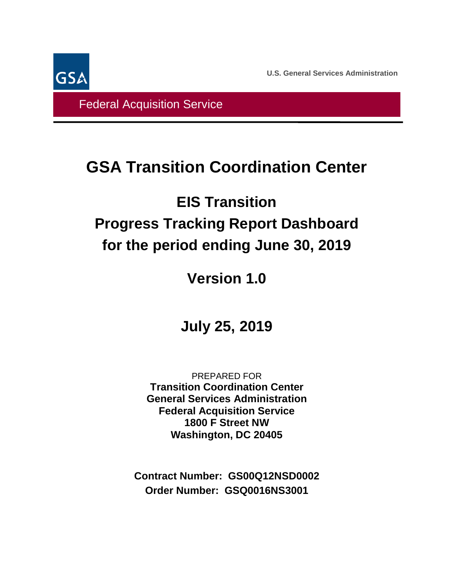**U.S. General Services Administration**



Federal Acquisition Service

# **GSA Transition Coordination Center**

# **EIS Transition Progress Tracking Report Dashboard for the period ending June 30, 2019**

# **Version 1.0**

# **July 25, 2019**

PREPARED FOR **Transition Coordination Center General Services Administration Federal Acquisition Service 1800 F Street NW Washington, DC 20405**

**Contract Number: GS00Q12NSD0002 Order Number: GSQ0016NS3001**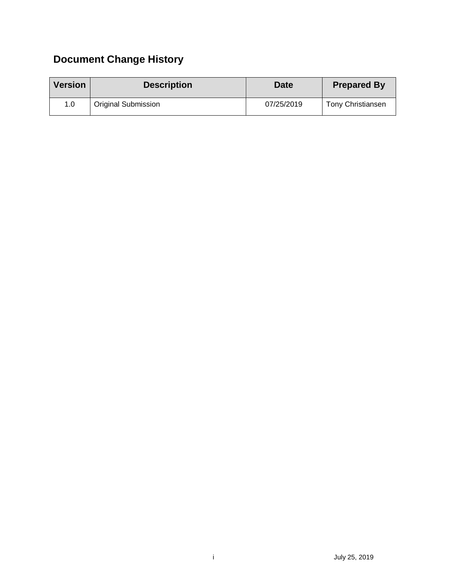## **Document Change History**

| <b>Version</b> | <b>Description</b>  | <b>Date</b> | <b>Prepared By</b>       |
|----------------|---------------------|-------------|--------------------------|
| 1.0            | Original Submission | 07/25/2019  | <b>Tony Christiansen</b> |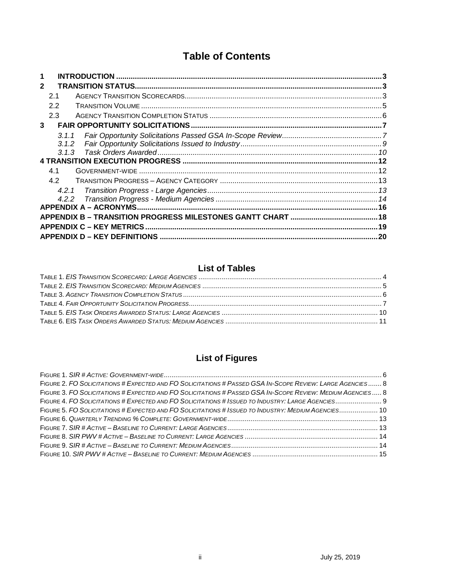### **Table of Contents**

| 1            |       |                          |  |
|--------------|-------|--------------------------|--|
| $\mathbf{2}$ |       |                          |  |
|              | 2.1   |                          |  |
|              | 2.2   |                          |  |
|              | 2.3   |                          |  |
| 3            |       |                          |  |
|              | 3.1.1 |                          |  |
|              | 3.1.2 |                          |  |
|              | 3.1.3 |                          |  |
|              |       |                          |  |
|              | 4.1   |                          |  |
|              | 4.2   |                          |  |
|              | 4.2.1 |                          |  |
|              |       |                          |  |
|              |       |                          |  |
|              |       |                          |  |
|              |       | APPENDIX C - KEY METRICS |  |
|              |       |                          |  |

#### **List of Tables**

### **List of Figures**

| FIGURE 2. FO SOLICITATIONS # EXPECTED AND FO SOLICITATIONS # PASSED GSA IN-SCOPE REVIEW: LARGE AGENCIES 8  |  |
|------------------------------------------------------------------------------------------------------------|--|
| FIGURE 3. FO SOLICITATIONS # EXPECTED AND FO SOLICITATIONS # PASSED GSA IN-SCOPE REVIEW: MEDIUM AGENCIES 8 |  |
|                                                                                                            |  |
| FIGURE 5. FO SOLICITATIONS # EXPECTED AND FO SOLICITATIONS # ISSUED TO INDUSTRY: MEDIUM AGENCIES 10        |  |
|                                                                                                            |  |
|                                                                                                            |  |
|                                                                                                            |  |
|                                                                                                            |  |
|                                                                                                            |  |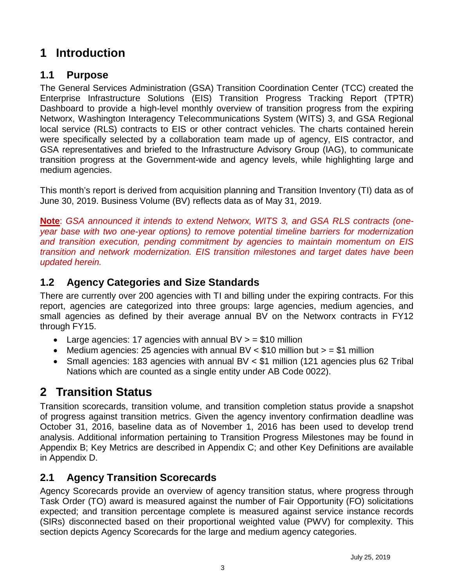## <span id="page-3-0"></span>**1 Introduction**

#### **1.1 Purpose**

The General Services Administration (GSA) Transition Coordination Center (TCC) created the Enterprise Infrastructure Solutions (EIS) Transition Progress Tracking Report (TPTR) Dashboard to provide a high-level monthly overview of transition progress from the expiring Networx, Washington Interagency Telecommunications System (WITS) 3, and GSA Regional local service (RLS) contracts to EIS or other contract vehicles. The charts contained herein were specifically selected by a collaboration team made up of agency, EIS contractor, and GSA representatives and briefed to the Infrastructure Advisory Group (IAG), to communicate transition progress at the Government-wide and agency levels, while highlighting large and medium agencies.

This month's report is derived from acquisition planning and Transition Inventory (TI) data as of June 30, 2019. Business Volume (BV) reflects data as of May 31, 2019.

**Note**: *GSA announced it intends to extend Networx, WITS 3, and GSA RLS contracts (oneyear base with two one-year options) to remove potential timeline barriers for modernization and transition execution, pending commitment by agencies to maintain momentum on EIS transition and network modernization. EIS transition milestones and target dates have been updated herein.*

#### **1.2 Agency Categories and Size Standards**

There are currently over 200 agencies with TI and billing under the expiring contracts. For this report, agencies are categorized into three groups: large agencies, medium agencies, and small agencies as defined by their average annual BV on the Networx contracts in FY12 through FY15.

- Large agencies: 17 agencies with annual  $BV > = $10$  million
- Medium agencies: 25 agencies with annual BV  $<$  \$10 million but  $>$  = \$1 million
- Small agencies: 183 agencies with annual BV < \$1 million (121 agencies plus 62 Tribal Nations which are counted as a single entity under AB Code 0022).

#### <span id="page-3-1"></span>**2 Transition Status**

Transition scorecards, transition volume, and transition completion status provide a snapshot of progress against transition metrics. Given the agency inventory confirmation deadline was October 31, 2016, baseline data as of November 1, 2016 has been used to develop trend analysis. Additional information pertaining to Transition Progress Milestones may be found in Appendix B; Key Metrics are described in Appendix C; and other Key Definitions are available in Appendix D.

#### <span id="page-3-2"></span>**2.1 Agency Transition Scorecards**

Agency Scorecards provide an overview of agency transition status, where progress through Task Order (TO) award is measured against the number of Fair Opportunity (FO) solicitations expected; and transition percentage complete is measured against service instance records (SIRs) disconnected based on their proportional weighted value (PWV) for complexity. This section depicts Agency Scorecards for the large and medium agency categories.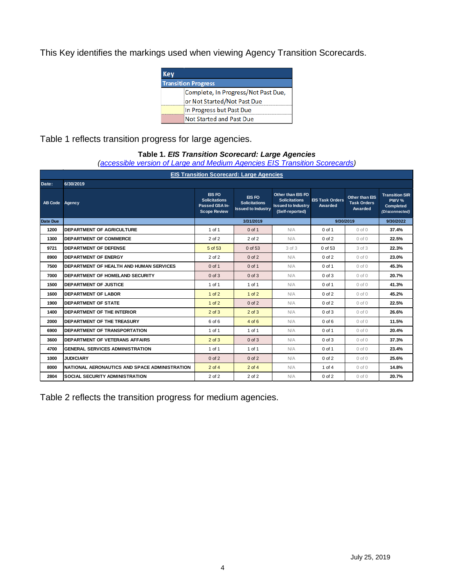This Key identifies the markings used when viewing Agency Transition Scorecards.

| Kev                        |                                     |  |  |  |  |  |  |
|----------------------------|-------------------------------------|--|--|--|--|--|--|
| <b>Transition Progress</b> |                                     |  |  |  |  |  |  |
|                            | Complete, In Progress/Not Past Due, |  |  |  |  |  |  |
|                            | or Not Started/Not Past Due         |  |  |  |  |  |  |
|                            | In Progress but Past Due            |  |  |  |  |  |  |
|                            | Not Started and Past Due            |  |  |  |  |  |  |

<span id="page-4-0"></span>Table 1 reflects transition progress for large agencies.

#### **Table 1.** *EIS Transition Scorecard: Large Agencies*

*[\(accessible version of Large and Medium](https://www.gsa.gov/cdnstatic/Transition-Scorecard-Large_and_Medium_Agencies-508_2019-07-25.pdf) Agencies EIS Transition Scorecards)*

|                | <b>EIS Transition Scorecard: Large Agencies</b> |                                                                         |                                                             |                                                                                           |                                   |                                                 |                                                               |  |  |
|----------------|-------------------------------------------------|-------------------------------------------------------------------------|-------------------------------------------------------------|-------------------------------------------------------------------------------------------|-----------------------------------|-------------------------------------------------|---------------------------------------------------------------|--|--|
| Date:          | 6/30/2019                                       |                                                                         |                                                             |                                                                                           |                                   |                                                 |                                                               |  |  |
| <b>AB Code</b> | Agency                                          | EIS FO<br><b>Solicitations</b><br>Passed GSA In-<br><b>Scope Review</b> | EIS FO<br><b>Solicitations</b><br><b>Issued to Industry</b> | Other than EIS FO<br><b>Solicitations</b><br><b>Issued to Industry</b><br>(Self-reported) | <b>EIS Task Orders</b><br>Awarded | Other than EIS<br><b>Task Orders</b><br>Awarded | <b>Transition SIR</b><br>PWV %<br>Completed<br>(Disconnected) |  |  |
| Date Due       |                                                 |                                                                         | 3/31/2019                                                   |                                                                                           | 9/30/2019                         |                                                 | 9/30/2022                                                     |  |  |
| 1200           | <b>DEPARTMENT OF AGRICULTURE</b>                | 1 of 1                                                                  | $0$ of 1                                                    | N/A                                                                                       | $0$ of 1                          | $0$ of $0$                                      | 37.4%                                                         |  |  |
| 1300           | <b>DEPARTMENT OF COMMERCE</b>                   | 2 of 2                                                                  | 2 of 2                                                      | N/A                                                                                       | $0$ of $2$                        | $0$ of $0$                                      | 22.5%                                                         |  |  |
| 9721           | <b>DEPARTMENT OF DEFENSE</b>                    | 5 of 53                                                                 | 0 of 53                                                     | 3 of 3                                                                                    | 0 of 53                           | 3 of 3                                          | 22.3%                                                         |  |  |
| 8900           | <b>DEPARTMENT OF ENERGY</b>                     | 2 of 2                                                                  | $0$ of $2$                                                  | N/A                                                                                       | $0$ of $2$                        | $0$ of $0$                                      | 23.0%                                                         |  |  |
| 7500           | DEPARTMENT OF HEALTH AND HUMAN SERVICES         | $0$ of 1                                                                | $0$ of 1                                                    | N/A                                                                                       | 0 of 1                            | $0$ of $0$                                      | 45.3%                                                         |  |  |
| 7000           | <b>IDEPARTMENT OF HOMELAND SECURITY</b>         | $0$ of $3$                                                              | $0$ of $3$                                                  | N/A                                                                                       | $0$ of $3$                        | $0$ of $0$                                      | 20.7%                                                         |  |  |
| 1500           | <b>DEPARTMENT OF JUSTICE</b>                    | 1 of 1                                                                  | 1 of 1                                                      | N/A                                                                                       | 0 of 1                            | $0$ of $0$                                      | 41.3%                                                         |  |  |
| 1600           | <b>DEPARTMENT OF LABOR</b>                      | $1$ of $2$                                                              | $1$ of $2$                                                  | N/A                                                                                       | $0$ of $2$                        | $0$ of $0$                                      | 45.2%                                                         |  |  |
| 1900           | <b>DEPARTMENT OF STATE</b>                      | $1$ of $2$                                                              | $0$ of $2$                                                  | N/A                                                                                       | $0$ of $2$                        | $0$ of $0$                                      | 22.5%                                                         |  |  |
| 1400           | <b>DEPARTMENT OF THE INTERIOR</b>               | $2$ of $3$                                                              | $2$ of $3$                                                  | N/A                                                                                       | $0$ of $3$                        | $0$ of $0$                                      | 26.6%                                                         |  |  |
| 2000           | DEPARTMENT OF THE TREASURY                      | 6 of 6                                                                  | $4$ of $6$                                                  | N/A                                                                                       | $0$ of $6$                        | $0$ of $0$                                      | 11.5%                                                         |  |  |
| 6900           | DEPARTMENT OF TRANSPORTATION                    | 1 of 1                                                                  | 1 of 1                                                      | N/A                                                                                       | 0 of 1                            | $0$ of $0$                                      | 20.4%                                                         |  |  |
| 3600           | DEPARTMENT OF VETERANS AFFAIRS                  | $2$ of $3$                                                              | $0$ of $3$                                                  | N/A                                                                                       | $0$ of $3$                        | $0$ of $0$                                      | 37.3%                                                         |  |  |
| 4700           | <b>GENERAL SERVICES ADMINISTRATION</b>          | 1 of 1                                                                  | 1 of 1                                                      | N/A                                                                                       | 0 of 1                            | $0$ of $0$                                      | 23.4%                                                         |  |  |
| 1000           | <b>JUDICIARY</b>                                | $0$ of $2$                                                              | $0$ of $2$                                                  | N/A                                                                                       | $0$ of $2$                        | $0$ of $0$                                      | 25.6%                                                         |  |  |
| 8000           | NATIONAL AERONAUTICS AND SPACE ADMINISTRATION   | $2$ of $4$                                                              | $2$ of $4$                                                  | N/A                                                                                       | $1$ of $4$                        | $0$ of $0$                                      | 14.8%                                                         |  |  |
| 2804           | <b>SOCIAL SECURITY ADMINISTRATION</b>           | 2 of 2                                                                  | 2 of 2                                                      | N/A                                                                                       | $0$ of $2$                        | $0$ of $0$                                      | 20.7%                                                         |  |  |

Table 2 reflects the transition progress for medium agencies.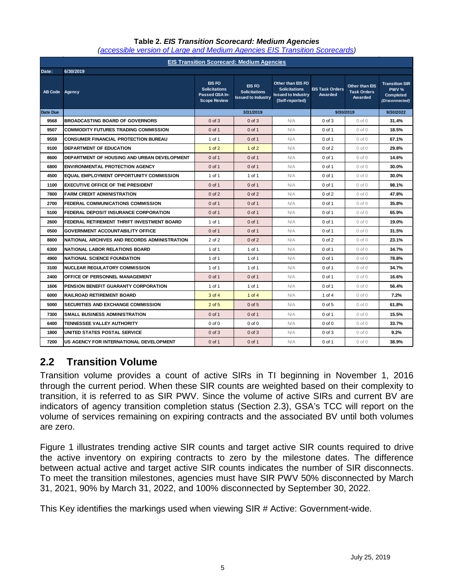<span id="page-5-1"></span>

|                | <b>EIS Transition Scorecard: Medium Agencies</b> |                                                                         |                                                             |                                                                                           |                                   |                                                 |                                                                      |  |
|----------------|--------------------------------------------------|-------------------------------------------------------------------------|-------------------------------------------------------------|-------------------------------------------------------------------------------------------|-----------------------------------|-------------------------------------------------|----------------------------------------------------------------------|--|
|                |                                                  |                                                                         |                                                             |                                                                                           |                                   |                                                 |                                                                      |  |
| Date:          | 6/30/2019                                        |                                                                         |                                                             |                                                                                           |                                   |                                                 |                                                                      |  |
| <b>AB Code</b> | Agency                                           | EIS FO<br><b>Solicitations</b><br>Passed GSA In-<br><b>Scope Review</b> | EIS FO<br><b>Solicitations</b><br><b>Issued to Industry</b> | Other than EIS FO<br><b>Solicitations</b><br><b>Issued to Industry</b><br>(Self-reported) | <b>EIS Task Orders</b><br>Awarded | Other than EIS<br><b>Task Orders</b><br>Awarded | <b>Transition SIR</b><br>PWV %<br><b>Completed</b><br>(Disconnected) |  |
| Date Due       |                                                  |                                                                         | 3/31/2019                                                   |                                                                                           | 9/30/2019                         |                                                 | 9/30/2022                                                            |  |
| 9568           | <b>BROADCASTING BOARD OF GOVERNORS</b>           | $0$ of $3$                                                              | $0$ of $3$                                                  | N/A                                                                                       | $0$ of $3$                        | $0$ of $0$                                      | 31.4%                                                                |  |
| 9507           | <b>COMMODITY FUTURES TRADING COMMISSION</b>      | $0$ of 1                                                                | $0$ of 1                                                    | N/A                                                                                       | 0 of 1                            | $0$ of $0$                                      | 18.5%                                                                |  |
| 9559           | <b>CONSUMER FINANCIAL PROTECTION BUREAU</b>      | 1 of 1                                                                  | $0$ of 1                                                    | N/A                                                                                       | 0 of 1                            | $0$ of $0$                                      | 67.1%                                                                |  |
| 9100           | DEPARTMENT OF EDUCATION                          | $1$ of $2$                                                              | $1$ of $2$                                                  | N/A                                                                                       | $0$ of $2$                        | $0$ of $0$                                      | 29.8%                                                                |  |
| 8600           | DEPARTMENT OF HOUSING AND URBAN DEVELOPMENT      | $0$ of 1                                                                | $0$ of 1                                                    | N/A                                                                                       | 0 of 1                            | $0$ of $0$                                      | 14.6%                                                                |  |
| 6800           | <b>ENVIRONMENTAL PROTECTION AGENCY</b>           | $0$ of 1                                                                | $0$ of 1                                                    | N/A                                                                                       | 0 of 1                            | $0$ of $0$                                      | 30.0%                                                                |  |
| 4500           | <b>EQUAL EMPLOYMENT OPPORTUNITY COMMISSION</b>   | 1 of 1                                                                  | 1 of 1                                                      | N/A                                                                                       | 0 of 1                            | $0$ of $0$                                      | 30.0%                                                                |  |
| 1100           | <b>EXECUTIVE OFFICE OF THE PRESIDENT</b>         | $0$ of 1                                                                | $0$ of 1                                                    | N/A                                                                                       | 0 of 1                            | $0$ of $0$                                      | 98.1%                                                                |  |
| 7800           | <b>FARM CREDIT ADMINISTRATION</b>                | $0$ of $2$                                                              | $0$ of $2$                                                  | N/A                                                                                       | $0$ of $2$                        | $0$ of $0$                                      | 47.8%                                                                |  |
| 2700           | FEDERAL COMMUNICATIONS COMMISSION                | $0$ of 1                                                                | $0$ of 1                                                    | N/A                                                                                       | 0 of 1                            | $0$ of $0$                                      | 35.8%                                                                |  |
| 5100           | FEDERAL DEPOSIT INSURANCE CORPORATION            | $0$ of 1                                                                | $0$ of 1                                                    | N/A                                                                                       | 0 of 1                            | $0$ of $0$                                      | 65.9%                                                                |  |
| 2600           | FEDERAL RETIREMENT THRIFT INVESTMENT BOARD       | 1 of 1                                                                  | $0$ of 1                                                    | N/A                                                                                       | 0 of 1                            | $0$ of $0$                                      | 19.0%                                                                |  |
| 0500           | <b>GOVERNMENT ACCOUNTABILITY OFFICE</b>          | $0$ of 1                                                                | $0$ of 1                                                    | N/A                                                                                       | 0 of 1                            | $0$ of $0$                                      | 31.5%                                                                |  |
| 8800           | NATIONAL ARCHIVES AND RECORDS ADMINISTRATION     | 2 of 2                                                                  | $0$ of $2$                                                  | N/A                                                                                       | $0$ of $2$                        | $0$ of $0$                                      | 23.1%                                                                |  |
| 6300           | NATIONAL LABOR RELATIONS BOARD                   | 1 of 1                                                                  | 1 of 1                                                      | N/A                                                                                       | 0 of 1                            | $0$ of $0$                                      | 34.7%                                                                |  |
| 4900           | <b>NATIONAL SCIENCE FOUNDATION</b>               | 1 of 1                                                                  | 1 of 1                                                      | N/A                                                                                       | 0 of 1                            | $0$ of $0$                                      | 78.8%                                                                |  |
| 3100           | <b>NUCLEAR REGULATORY COMMISSION</b>             | 1 of 1                                                                  | 1 of 1                                                      | N/A                                                                                       | 0 of 1                            | $0$ of $0$                                      | 34.7%                                                                |  |
| 2400           | OFFICE OF PERSONNEL MANAGEMENT                   | $0$ of 1                                                                | $0$ of 1                                                    | N/A                                                                                       | 0 of 1                            | $0$ of $0$                                      | 16.6%                                                                |  |
| 1606           | PENSION BENEFIT GUARANTY CORPORATION             | 1 of 1                                                                  | 1 of 1                                                      | N/A                                                                                       | 0 of 1                            | $0$ of $0$                                      | 56.4%                                                                |  |
| 6000           | <b>RAILROAD RETIREMENT BOARD</b>                 | 3 of 4                                                                  | $1$ of $4$                                                  | N/A                                                                                       | 1 of 4                            | $0$ of $0$                                      | 7.2%                                                                 |  |
| 5000           | <b>SECURITIES AND EXCHANGE COMMISSION</b>        | $2$ of $5$                                                              | $0$ of $5$                                                  | N/A                                                                                       | $0$ of $5$                        | $0$ of $0$                                      | 61.8%                                                                |  |
| 7300           | <b>SMALL BUSINESS ADMINISTRATION</b>             | $0$ of 1                                                                | $0$ of 1                                                    | N/A                                                                                       | 0 of 1                            | $0$ of $0$                                      | 15.5%                                                                |  |
| 6400           | TENNESSEE VALLEY AUTHORITY                       | $0$ of $0$                                                              | $0$ of $0$                                                  | N/A                                                                                       | $0$ of $0$                        | $0$ of $0$                                      | 33.7%                                                                |  |
| 1800           | UNITED STATES POSTAL SERVICE                     | $0$ of $3$                                                              | $0$ of $3$                                                  | N/A                                                                                       | 0 of 3                            | $0$ of $0$                                      | 9.2%                                                                 |  |
| 7200           | US AGENCY FOR INTERNATIONAL DEVELOPMENT          | $0$ of 1                                                                | $0$ of 1                                                    | N/A                                                                                       | 0 of 1                            | $0$ of $0$                                      | 38.9%                                                                |  |

#### **Table 2.** *EIS Transition Scorecard: Medium Agencies [\(accessible version of Large and Medium Agencies EIS Transition Scorecards\)](https://www.gsa.gov/cdnstatic/Transition-Scorecard-Large_and_Medium_Agencies-508_2019-07-25.pdf)*

#### <span id="page-5-0"></span>**2.2 Transition Volume**

Transition volume provides a count of active SIRs in TI beginning in November 1, 2016 through the current period. When these SIR counts are weighted based on their complexity to transition, it is referred to as SIR PWV. Since the volume of active SIRs and current BV are indicators of agency transition completion status (Section 2.3), GSA's TCC will report on the volume of services remaining on expiring contracts and the associated BV until both volumes are zero.

Figure 1 illustrates trending active SIR counts and target active SIR counts required to drive the active inventory on expiring contracts to zero by the milestone dates. The difference between actual active and target active SIR counts indicates the number of SIR disconnects. To meet the transition milestones, agencies must have SIR PWV 50% disconnected by March 31, 2021, 90% by March 31, 2022, and 100% disconnected by September 30, 2022.

This Key identifies the markings used when viewing SIR # Active: Government-wide.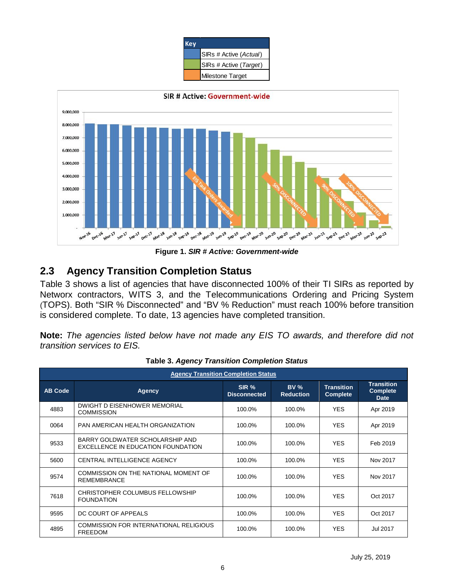| <b>Key</b> |                        |
|------------|------------------------|
|            | SIRs # Active (Actual) |
|            | SIRs # Active (Target) |
|            | Milestone Target       |



**Figure 1.** *SIR # Active: Government-wide*

#### <span id="page-6-0"></span>**2.3 Agency Transition Completion Status**

Table 3 shows a list of agencies that have disconnected 100% of their TI SIRs as reported by Networx contractors, WITS 3, and the Telecommunications Ordering and Pricing System (TOPS). Both "SIR % Disconnected" and "BV % Reduction" must reach 100% before transition is considered complete. To date, 13 agencies have completed transition.

**Note:** *The agencies listed below have not made any EIS TO awards, and therefore did not transition services to EIS.* 

<span id="page-6-1"></span>

| <b>Agency Transition Completion Status</b> |                                                                       |                              |                                 |                                      |                                                     |  |  |  |
|--------------------------------------------|-----------------------------------------------------------------------|------------------------------|---------------------------------|--------------------------------------|-----------------------------------------------------|--|--|--|
| <b>AB Code</b>                             | <b>Agency</b>                                                         | SIR %<br><b>Disconnected</b> | <b>BV %</b><br><b>Reduction</b> | <b>Transition</b><br><b>Complete</b> | <b>Transition</b><br><b>Complete</b><br><b>Date</b> |  |  |  |
| 4883                                       | DWIGHT D EISENHOWER MEMORIAL<br><b>COMMISSION</b>                     | 100.0%                       | 100.0%                          | <b>YES</b>                           | Apr 2019                                            |  |  |  |
| 0064                                       | PAN AMERICAN HEALTH ORGANIZATION                                      | 100.0%                       | 100.0%                          | <b>YES</b>                           | Apr 2019                                            |  |  |  |
| 9533                                       | BARRY GOLDWATER SCHOLARSHIP AND<br>EXCELLENCE IN EDUCATION FOUNDATION | 100.0%                       | 100.0%                          | <b>YES</b>                           | Feb 2019                                            |  |  |  |
| 5600                                       | CENTRAL INTELLIGENCE AGENCY                                           | 100.0%                       | 100.0%                          | <b>YES</b>                           | Nov 2017                                            |  |  |  |
| 9574                                       | COMMISSION ON THE NATIONAL MOMENT OF<br><b>REMEMBRANCE</b>            | 100.0%                       | 100.0%                          | <b>YES</b>                           | Nov 2017                                            |  |  |  |
| 7618                                       | CHRISTOPHER COLUMBUS FELLOWSHIP<br><b>FOUNDATION</b>                  | 100.0%                       | 100.0%                          | <b>YES</b>                           | Oct 2017                                            |  |  |  |
| 9595                                       | DC COURT OF APPEALS                                                   | 100.0%                       | 100.0%                          | <b>YES</b>                           | Oct 2017                                            |  |  |  |
| 4895                                       | <b>COMMISSION FOR INTERNATIONAL RELIGIOUS</b><br><b>FREEDOM</b>       | 100.0%                       | 100.0%                          | <b>YES</b>                           | Jul 2017                                            |  |  |  |

|  |  | <b>Table 3. Agency Transition Completion Status</b> |
|--|--|-----------------------------------------------------|
|--|--|-----------------------------------------------------|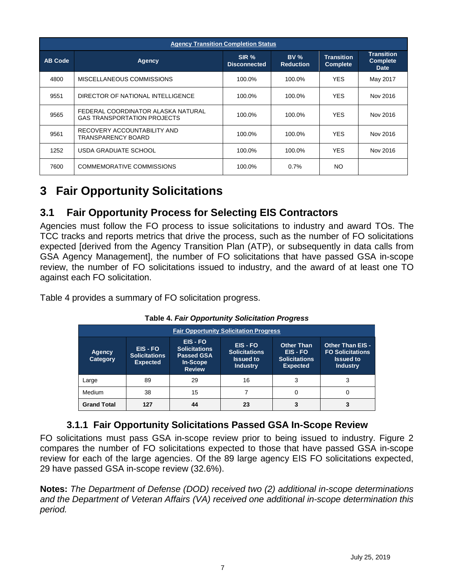| <b>Agency Transition Completion Status</b> |                                                                          |                              |                         |                                      |                                                     |  |  |  |
|--------------------------------------------|--------------------------------------------------------------------------|------------------------------|-------------------------|--------------------------------------|-----------------------------------------------------|--|--|--|
| <b>AB Code</b>                             | Agency                                                                   | SIR %<br><b>Disconnected</b> | BV%<br><b>Reduction</b> | <b>Transition</b><br><b>Complete</b> | <b>Transition</b><br><b>Complete</b><br><b>Date</b> |  |  |  |
| 4800                                       | MISCELLANEOUS COMMISSIONS                                                | 100.0%                       | 100.0%                  | <b>YES</b>                           | May 2017                                            |  |  |  |
| 9551                                       | DIRECTOR OF NATIONAL INTELLIGENCE                                        | 100.0%                       | 100.0%                  | <b>YES</b>                           | Nov 2016                                            |  |  |  |
| 9565                                       | FEDERAL COORDINATOR ALASKA NATURAL<br><b>GAS TRANSPORTATION PROJECTS</b> | 100.0%                       | 100.0%                  | <b>YES</b>                           | Nov 2016                                            |  |  |  |
| 9561                                       | RECOVERY ACCOUNTABILITY AND<br>TRANSPARENCY BOARD                        | 100.0%                       | 100.0%                  | <b>YFS</b>                           | Nov 2016                                            |  |  |  |
| 1252                                       | USDA GRADUATE SCHOOL                                                     | 100.0%                       | 100.0%                  | <b>YES</b>                           | Nov 2016                                            |  |  |  |
| 7600                                       | <b>COMMEMORATIVE COMMISSIONS</b>                                         | 100.0%                       | $0.7\%$                 | NO.                                  |                                                     |  |  |  |

### <span id="page-7-0"></span>**3 Fair Opportunity Solicitations**

#### **3.1 Fair Opportunity Process for Selecting EIS Contractors**

Agencies must follow the FO process to issue solicitations to industry and award TOs. The TCC tracks and reports metrics that drive the process, such as the number of FO solicitations expected [derived from the Agency Transition Plan (ATP), or subsequently in data calls from GSA Agency Management], the number of FO solicitations that have passed GSA in-scope review, the number of FO solicitations issued to industry, and the award of at least one TO against each FO solicitation.

<span id="page-7-2"></span>Table 4 provides a summary of FO solicitation progress.

| <b>Fair Opportunity Solicitation Progress</b> |                                                   |                                                                                    |                                                                              |                                                                        |                                                                                           |  |  |
|-----------------------------------------------|---------------------------------------------------|------------------------------------------------------------------------------------|------------------------------------------------------------------------------|------------------------------------------------------------------------|-------------------------------------------------------------------------------------------|--|--|
| <b>Agency</b><br><b>Category</b>              | EIS-FO<br><b>Solicitations</b><br><b>Expected</b> | EIS - FO<br><b>Solicitations</b><br><b>Passed GSA</b><br>In-Scope<br><b>Review</b> | <b>EIS-FO</b><br><b>Solicitations</b><br><b>Issued to</b><br><b>Industry</b> | <b>Other Than</b><br>EIS-FO<br><b>Solicitations</b><br><b>Expected</b> | <b>Other Than EIS -</b><br><b>FO Solicitations</b><br><b>Issued to</b><br><b>Industry</b> |  |  |
| Large                                         | 89                                                | 29                                                                                 | 16                                                                           | 3                                                                      | 3                                                                                         |  |  |
| Medium                                        | 38                                                | 15                                                                                 |                                                                              | 0                                                                      | 0                                                                                         |  |  |
| <b>Grand Total</b>                            | 127                                               | 44                                                                                 | 23                                                                           |                                                                        |                                                                                           |  |  |

**Table 4.** *Fair Opportunity Solicitation Progress*

#### **3.1.1 Fair Opportunity Solicitations Passed GSA In-Scope Review**

<span id="page-7-1"></span>FO solicitations must pass GSA in-scope review prior to being issued to industry. Figure 2 compares the number of FO solicitations expected to those that have passed GSA in-scope review for each of the large agencies. Of the 89 large agency EIS FO solicitations expected, 29 have passed GSA in-scope review (32.6%).

**Notes:** *The Department of Defense (DOD) received two (2) additional in-scope determinations and the Department of Veteran Affairs (VA) received one additional in-scope determination this period.*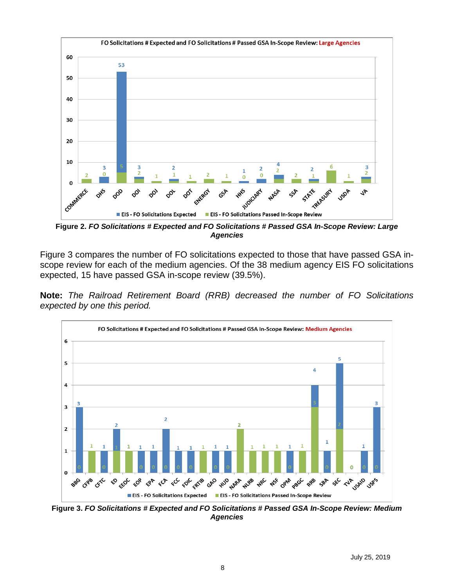

**Figure 2.** *FO Solicitations # Expected and FO Solicitations # Passed GSA In-Scope Review: Large Agencies*

Figure 3 compares the number of FO solicitations expected to those that have passed GSA inscope review for each of the medium agencies. Of the 38 medium agency EIS FO solicitations expected, 15 have passed GSA in-scope review (39.5%).

**Note:** *The Railroad Retirement Board (RRB) decreased the number of FO Solicitations expected by one this period.*



**Figure 3.** *FO Solicitations # Expected and FO Solicitations # Passed GSA In-Scope Review: Medium Agencies*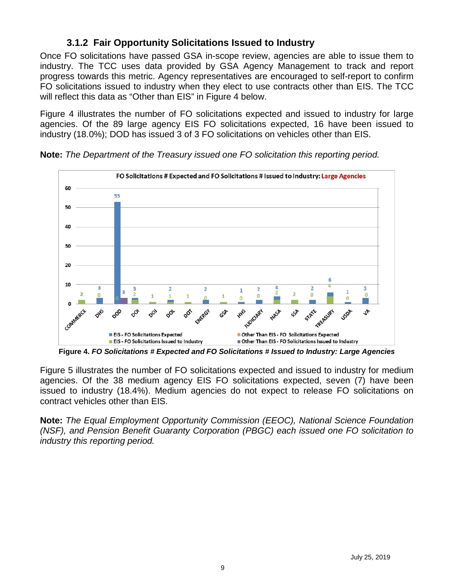#### **3.1.2 Fair Opportunity Solicitations Issued to Industry**

<span id="page-9-0"></span>Once FO solicitations have passed GSA in-scope review, agencies are able to issue them to industry. The TCC uses data provided by GSA Agency Management to track and report progress towards this metric. Agency representatives are encouraged to self-report to confirm FO solicitations issued to industry when they elect to use contracts other than EIS. The TCC will reflect this data as "Other than EIS" in Figure 4 below.

Figure 4 illustrates the number of FO solicitations expected and issued to industry for large agencies. Of the 89 large agency EIS FO solicitations expected, 16 have been issued to industry (18.0%); DOD has issued 3 of 3 FO solicitations on vehicles other than EIS.



**Note:** *The Department of the Treasury issued one FO solicitation this reporting period.*

**Figure 4.** *FO Solicitations # Expected and FO Solicitations # Issued to Industry: Large Agencies*

Figure 5 illustrates the number of FO solicitations expected and issued to industry for medium agencies. Of the 38 medium agency EIS FO solicitations expected, seven (7) have been issued to industry (18.4%). Medium agencies do not expect to release FO solicitations on contract vehicles other than EIS.

**Note:** *The Equal Employment Opportunity Commission (EEOC), National Science Foundation (NSF), and Pension Benefit Guaranty Corporation (PBGC) each issued one FO solicitation to industry this reporting period.*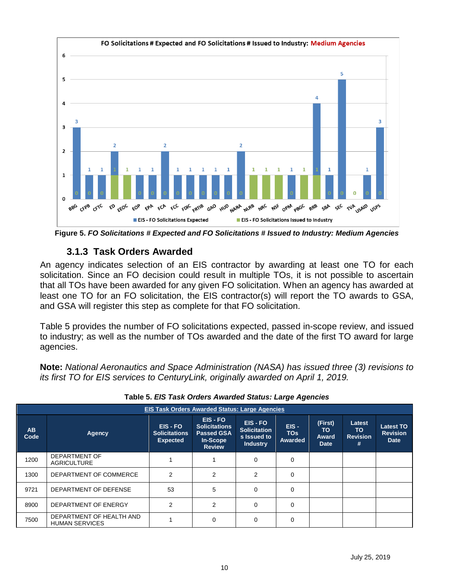

<span id="page-10-0"></span>**Figure 5.** *FO Solicitations # Expected and FO Solicitations # Issued to Industry: Medium Agencies*

#### **3.1.3 Task Orders Awarded**

An agency indicates selection of an EIS contractor by awarding at least one TO for each solicitation. Since an FO decision could result in multiple TOs, it is not possible to ascertain that all TOs have been awarded for any given FO solicitation. When an agency has awarded at least one TO for an FO solicitation, the EIS contractor(s) will report the TO awards to GSA, and GSA will register this step as complete for that FO solicitation.

Table 5 provides the number of FO solicitations expected, passed in-scope review, and issued to industry; as well as the number of TOs awarded and the date of the first TO award for large agencies.

**Note:** *National Aeronautics and Space Administration (NASA) has issued three (3) revisions to its first TO for EIS services to CenturyLink, originally awarded on April 1, 2019.*

<span id="page-10-1"></span>

|                   | <b>EIS Task Orders Awarded Status: Large Agencies</b> |                                                     |                                                                                    |                                                                   |                                         |                                               |                                       |                                                    |
|-------------------|-------------------------------------------------------|-----------------------------------------------------|------------------------------------------------------------------------------------|-------------------------------------------------------------------|-----------------------------------------|-----------------------------------------------|---------------------------------------|----------------------------------------------------|
| <b>AB</b><br>Code | Agency                                                | EIS - FO<br><b>Solicitations</b><br><b>Expected</b> | EIS - FO<br><b>Solicitations</b><br><b>Passed GSA</b><br>In-Scope<br><b>Review</b> | EIS - FO<br><b>Solicitation</b><br>s Issued to<br><b>Industry</b> | $EIS -$<br><b>TOs</b><br><b>Awarded</b> | (First)<br>TO.<br><b>Award</b><br><b>Date</b> | Latest<br>TO.<br><b>Revision</b><br># | <b>Latest TO</b><br><b>Revision</b><br><b>Date</b> |
| 1200              | <b>DEPARTMENT OF</b><br><b>AGRICULTURE</b>            |                                                     |                                                                                    | $\Omega$                                                          | $\Omega$                                |                                               |                                       |                                                    |
| 1300              | DEPARTMENT OF COMMERCE                                | 2                                                   | 2                                                                                  | 2                                                                 | $\Omega$                                |                                               |                                       |                                                    |
| 9721              | DEPARTMENT OF DEFENSE                                 | 53                                                  | 5                                                                                  | $\Omega$                                                          | $\Omega$                                |                                               |                                       |                                                    |
| 8900              | DEPARTMENT OF ENERGY                                  | 2                                                   | 2                                                                                  | $\Omega$                                                          | $\Omega$                                |                                               |                                       |                                                    |
| 7500              | DEPARTMENT OF HEALTH AND<br><b>HUMAN SERVICES</b>     |                                                     | 0                                                                                  | $\Omega$                                                          | 0                                       |                                               |                                       |                                                    |

**Table 5.** *EIS Task Orders Awarded Status: Large Agencies*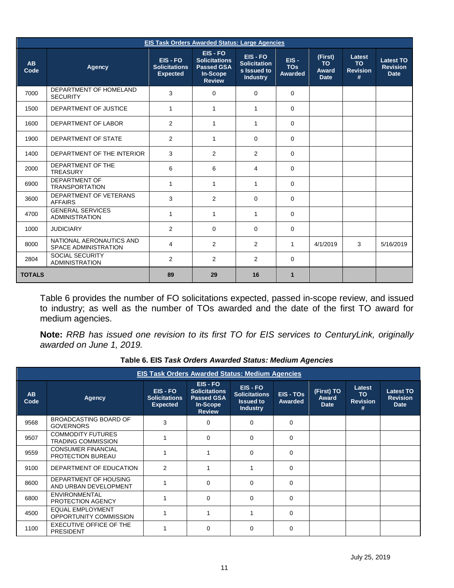|                   | <b>EIS Task Orders Awarded Status: Large Agencies</b>   |                                                     |                                                                                    |                                                                 |                                         |                                                     |                                             |                                                    |
|-------------------|---------------------------------------------------------|-----------------------------------------------------|------------------------------------------------------------------------------------|-----------------------------------------------------------------|-----------------------------------------|-----------------------------------------------------|---------------------------------------------|----------------------------------------------------|
| <b>AB</b><br>Code | Agency                                                  | EIS - FO<br><b>Solicitations</b><br><b>Expected</b> | EIS - FO<br><b>Solicitations</b><br><b>Passed GSA</b><br>In-Scope<br><b>Review</b> | EIS-FO<br><b>Solicitation</b><br>s Issued to<br><b>Industry</b> | $EIS -$<br><b>TOs</b><br><b>Awarded</b> | (First)<br><b>TO</b><br><b>Award</b><br><b>Date</b> | Latest<br><b>TO</b><br><b>Revision</b><br># | <b>Latest TO</b><br><b>Revision</b><br><b>Date</b> |
| 7000              | DEPARTMENT OF HOMELAND<br><b>SECURITY</b>               | 3                                                   | 0                                                                                  | $\Omega$                                                        | $\Omega$                                |                                                     |                                             |                                                    |
| 1500              | DEPARTMENT OF JUSTICE                                   | $\mathbf{1}$                                        | 1                                                                                  | 1                                                               | $\mathbf 0$                             |                                                     |                                             |                                                    |
| 1600              | DEPARTMENT OF LABOR                                     | 2                                                   | 1                                                                                  | 1                                                               | $\mathbf 0$                             |                                                     |                                             |                                                    |
| 1900              | DEPARTMENT OF STATE                                     | $\overline{2}$                                      | 1                                                                                  | $\Omega$                                                        | $\mathbf 0$                             |                                                     |                                             |                                                    |
| 1400              | DEPARTMENT OF THE INTERIOR                              | 3                                                   | 2                                                                                  | 2                                                               | $\Omega$                                |                                                     |                                             |                                                    |
| 2000              | DEPARTMENT OF THE<br><b>TREASURY</b>                    | 6                                                   | 6                                                                                  | 4                                                               | $\Omega$                                |                                                     |                                             |                                                    |
| 6900              | <b>DEPARTMENT OF</b><br><b>TRANSPORTATION</b>           | 1                                                   | 1                                                                                  | 1                                                               | 0                                       |                                                     |                                             |                                                    |
| 3600              | DEPARTMENT OF VETERANS<br><b>AFFAIRS</b>                | 3                                                   | $\overline{2}$                                                                     | 0                                                               | $\Omega$                                |                                                     |                                             |                                                    |
| 4700              | <b>GENERAL SERVICES</b><br><b>ADMINISTRATION</b>        | $\mathbf{1}$                                        | $\mathbf{1}$                                                                       | 1                                                               | $\Omega$                                |                                                     |                                             |                                                    |
| 1000              | <b>JUDICIARY</b>                                        | 2                                                   | $\Omega$                                                                           | $\Omega$                                                        | $\Omega$                                |                                                     |                                             |                                                    |
| 8000              | NATIONAL AERONAUTICS AND<br><b>SPACE ADMINISTRATION</b> | 4                                                   | $\overline{2}$                                                                     | $\mathcal{P}$                                                   | $\mathbf{1}$                            | 4/1/2019                                            | 3                                           | 5/16/2019                                          |
| 2804              | <b>SOCIAL SECURITY</b><br><b>ADMINISTRATION</b>         | $\overline{2}$                                      | $\overline{2}$                                                                     | $\overline{2}$                                                  | 0                                       |                                                     |                                             |                                                    |
| <b>TOTALS</b>     |                                                         | 89                                                  | 29                                                                                 | 16                                                              | $\mathbf{1}$                            |                                                     |                                             |                                                    |

Table 6 provides the number of FO solicitations expected, passed in-scope review, and issued to industry; as well as the number of TOs awarded and the date of the first TO award for medium agencies.

<span id="page-11-0"></span>**Note:** *RRB has issued one revision to its first TO for EIS services to CenturyLink, originally awarded on June 1, 2019.* 

|            | <b>EIS Task Orders Awarded Status: Medium Agencies</b> |                                                     |                                                                                    |                                                                       |                      |                                           |                                        |                                                    |
|------------|--------------------------------------------------------|-----------------------------------------------------|------------------------------------------------------------------------------------|-----------------------------------------------------------------------|----------------------|-------------------------------------------|----------------------------------------|----------------------------------------------------|
| AB<br>Code | <b>Agency</b>                                          | EIS - FO<br><b>Solicitations</b><br><b>Expected</b> | EIS - FO<br><b>Solicitations</b><br><b>Passed GSA</b><br>In-Scope<br><b>Review</b> | EIS-FO<br><b>Solicitations</b><br><b>Issued to</b><br><b>Industry</b> | EIS - TOS<br>Awarded | (First) TO<br><b>Award</b><br><b>Date</b> | Latest<br><b>TO</b><br><b>Revision</b> | <b>Latest TO</b><br><b>Revision</b><br><b>Date</b> |
| 9568       | <b>BROADCASTING BOARD OF</b><br><b>GOVERNORS</b>       | 3                                                   | $\Omega$                                                                           | $\Omega$                                                              | $\Omega$             |                                           |                                        |                                                    |
| 9507       | <b>COMMODITY FUTURES</b><br><b>TRADING COMMISSION</b>  |                                                     | $\Omega$                                                                           | $\Omega$                                                              | $\Omega$             |                                           |                                        |                                                    |
| 9559       | <b>CONSUMER FINANCIAL</b><br>PROTECTION BUREAU         |                                                     |                                                                                    | $\Omega$                                                              | $\Omega$             |                                           |                                        |                                                    |
| 9100       | DEPARTMENT OF EDUCATION                                | 2                                                   |                                                                                    |                                                                       | $\Omega$             |                                           |                                        |                                                    |
| 8600       | DEPARTMENT OF HOUSING<br>AND URBAN DEVELOPMENT         |                                                     | $\Omega$                                                                           | $\Omega$                                                              | $\Omega$             |                                           |                                        |                                                    |
| 6800       | <b>ENVIRONMENTAL</b><br>PROTECTION AGENCY              |                                                     | $\Omega$                                                                           | $\Omega$                                                              | $\Omega$             |                                           |                                        |                                                    |
| 4500       | <b>EQUAL EMPLOYMENT</b><br>OPPORTUNITY COMMISSION      |                                                     |                                                                                    |                                                                       | $\Omega$             |                                           |                                        |                                                    |
| 1100       | EXECUTIVE OFFICE OF THE<br><b>PRESIDENT</b>            |                                                     | 0                                                                                  | $\Omega$                                                              | $\Omega$             |                                           |                                        |                                                    |

**Table 6. EIS** *Task Orders Awarded Status: Medium Agencies*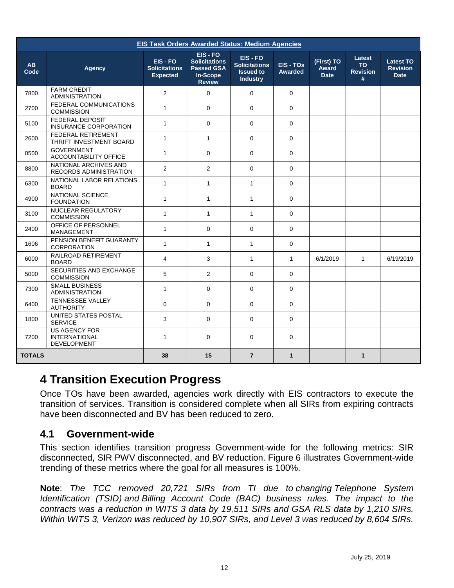|                   |                                                                    |                                                     |                                                                                      | <b>EIS Task Orders Awarded Status: Medium Agencies</b>                  |                             |                                    |                                             |                                                    |
|-------------------|--------------------------------------------------------------------|-----------------------------------------------------|--------------------------------------------------------------------------------------|-------------------------------------------------------------------------|-----------------------------|------------------------------------|---------------------------------------------|----------------------------------------------------|
| <b>AB</b><br>Code | Agency                                                             | EIS - FO<br><b>Solicitations</b><br><b>Expected</b> | $EIS - FO$<br><b>Solicitations</b><br><b>Passed GSA</b><br>In-Scope<br><b>Review</b> | EIS - FO<br><b>Solicitations</b><br><b>Issued to</b><br><b>Industry</b> | EIS - TOS<br><b>Awarded</b> | (First) TO<br>Award<br><b>Date</b> | Latest<br><b>TO</b><br><b>Revision</b><br># | <b>Latest TO</b><br><b>Revision</b><br><b>Date</b> |
| 7800              | <b>FARM CREDIT</b><br><b>ADMINISTRATION</b>                        | 2                                                   | $\Omega$                                                                             | $\mathbf 0$                                                             | $\mathbf 0$                 |                                    |                                             |                                                    |
| 2700              | FEDERAL COMMUNICATIONS<br><b>COMMISSION</b>                        | $\mathbf{1}$                                        | $\Omega$                                                                             | $\Omega$                                                                | $\Omega$                    |                                    |                                             |                                                    |
| 5100              | <b>FEDERAL DEPOSIT</b><br>INSURANCE CORPORATION                    | $\mathbf{1}$                                        | $\Omega$                                                                             | $\Omega$                                                                | $\Omega$                    |                                    |                                             |                                                    |
| 2600              | FEDERAL RETIREMENT<br>THRIFT INVESTMENT BOARD                      | $\mathbf{1}$                                        | $\mathbf{1}$                                                                         | $\Omega$                                                                | $\Omega$                    |                                    |                                             |                                                    |
| 0500              | <b>GOVERNMENT</b><br>ACCOUNTABILITY OFFICE                         | $\mathbf{1}$                                        | $\Omega$                                                                             | $\Omega$                                                                | $\Omega$                    |                                    |                                             |                                                    |
| 8800              | NATIONAL ARCHIVES AND<br>RECORDS ADMINISTRATION                    | 2                                                   | 2                                                                                    | $\Omega$                                                                | $\Omega$                    |                                    |                                             |                                                    |
| 6300              | NATIONAL LABOR RELATIONS<br><b>BOARD</b>                           | $\mathbf{1}$                                        | $\mathbf{1}$                                                                         | 1                                                                       | $\Omega$                    |                                    |                                             |                                                    |
| 4900              | NATIONAL SCIENCE<br><b>FOUNDATION</b>                              | $\mathbf{1}$                                        | $\mathbf{1}$                                                                         | 1                                                                       | $\Omega$                    |                                    |                                             |                                                    |
| 3100              | NUCLEAR REGULATORY<br><b>COMMISSION</b>                            | $\mathbf{1}$                                        | $\mathbf{1}$                                                                         | $\mathbf{1}$                                                            | $\Omega$                    |                                    |                                             |                                                    |
| 2400              | OFFICE OF PERSONNEL<br><b>MANAGEMENT</b>                           | $\mathbf{1}$                                        | $\Omega$                                                                             | $\Omega$                                                                | $\mathbf 0$                 |                                    |                                             |                                                    |
| 1606              | PENSION BENEFIT GUARANTY<br>CORPORATION                            | $\mathbf{1}$                                        | $\mathbf{1}$                                                                         | $\mathbf{1}$                                                            | $\mathbf 0$                 |                                    |                                             |                                                    |
| 6000              | RAILROAD RETIREMENT<br><b>BOARD</b>                                | 4                                                   | 3                                                                                    | $\mathbf{1}$                                                            | $\mathbf{1}$                | 6/1/2019                           | $\mathbf{1}$                                | 6/19/2019                                          |
| 5000              | SECURITIES AND EXCHANGE<br><b>COMMISSION</b>                       | 5                                                   | 2                                                                                    | $\Omega$                                                                | $\Omega$                    |                                    |                                             |                                                    |
| 7300              | <b>SMALL BUSINESS</b><br><b>ADMINISTRATION</b>                     | $\mathbf{1}$                                        | $\Omega$                                                                             | $\Omega$                                                                | $\Omega$                    |                                    |                                             |                                                    |
| 6400              | <b>TENNESSEE VALLEY</b><br><b>AUTHORITY</b>                        | $\Omega$                                            | $\Omega$                                                                             | $\Omega$                                                                | $\Omega$                    |                                    |                                             |                                                    |
| 1800              | UNITED STATES POSTAL<br><b>SERVICE</b>                             | 3                                                   | $\Omega$                                                                             | $\Omega$                                                                | $\Omega$                    |                                    |                                             |                                                    |
| 7200              | <b>US AGENCY FOR</b><br><b>INTERNATIONAL</b><br><b>DEVELOPMENT</b> | $\mathbf{1}$                                        | $\Omega$                                                                             | $\Omega$                                                                | $\Omega$                    |                                    |                                             |                                                    |
| <b>TOTALS</b>     |                                                                    | 38                                                  | 15                                                                                   | $\overline{7}$                                                          | $\mathbf{1}$                |                                    | $\mathbf{1}$                                |                                                    |

#### <span id="page-12-0"></span>**4 Transition Execution Progress**

Once TOs have been awarded, agencies work directly with EIS contractors to execute the transition of services. Transition is considered complete when all SIRs from expiring contracts have been disconnected and BV has been reduced to zero.

#### <span id="page-12-1"></span>**4.1 Government-wide**

This section identifies transition progress Government-wide for the following metrics: SIR disconnected, SIR PWV disconnected, and BV reduction. Figure 6 illustrates Government-wide trending of these metrics where the goal for all measures is 100%.

**Note**: *The TCC removed 20,721 SIRs from TI due to changing Telephone System Identification (TSID) and Billing Account Code (BAC) business rules. The impact to the contracts was a reduction in WITS 3 data by 19,511 SIRs and GSA RLS data by 1,210 SIRs. Within WITS 3, Verizon was reduced by 10,907 SIRs, and Level 3 was reduced by 8,604 SIRs.*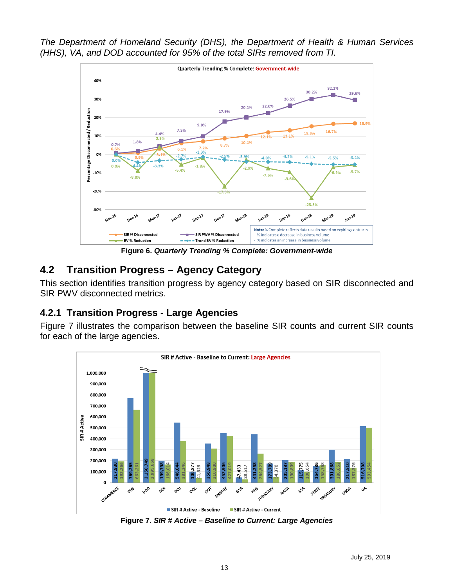*The Department of Homeland Security (DHS), the Department of Health & Human Services (HHS), VA, and DOD accounted for 95% of the total SIRs removed from TI.*



**Figure 6.** *Quarterly Trending % Complete: Government-wide*

#### <span id="page-13-0"></span>**4.2 Transition Progress – Agency Category**

This section identifies transition progress by agency category based on SIR disconnected and SIR PWV disconnected metrics.

#### <span id="page-13-1"></span>**4.2.1 Transition Progress - Large Agencies**

Figure 7 illustrates the comparison between the baseline SIR counts and current SIR counts for each of the large agencies.



**Figure 7.** *SIR # Active – Baseline to Current: Large Agencies*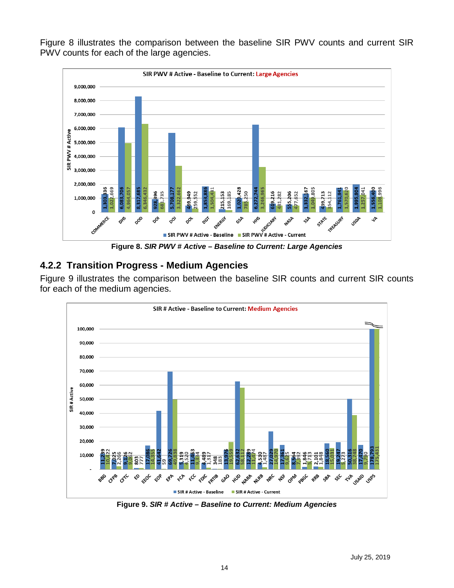Figure 8 illustrates the comparison between the baseline SIR PWV counts and current SIR PWV counts for each of the large agencies.



**Figure 8.** *SIR PWV # Active – Baseline to Current: Large Agencies*

#### <span id="page-14-0"></span>**4.2.2 Transition Progress - Medium Agencies**

Figure 9 illustrates the comparison between the baseline SIR counts and current SIR counts for each of the medium agencies.



**Figure 9.** *SIR # Active – Baseline to Current: Medium Agencies*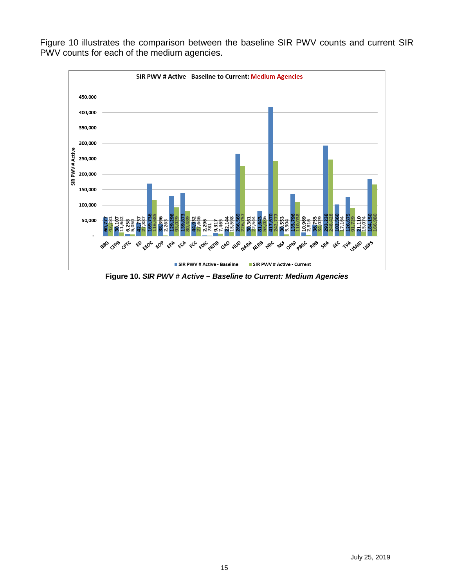

Figure 10 illustrates the comparison between the baseline SIR PWV counts and current SIR PWV counts for each of the medium agencies.

**Figure 10.** *SIR PWV # Active – Baseline to Current: Medium Agencies*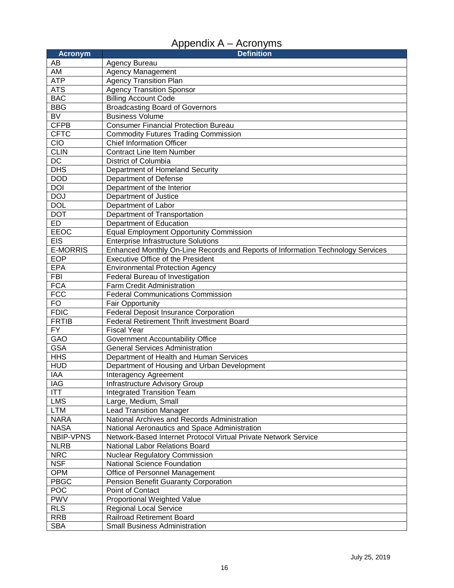| Appendix A – Acronyms |  |  |
|-----------------------|--|--|
|-----------------------|--|--|

<span id="page-16-0"></span>

| <b>Acronym</b>                  | <b>Definition</b>                                                                                 |
|---------------------------------|---------------------------------------------------------------------------------------------------|
| AB                              | Agency Bureau                                                                                     |
| AM                              | <b>Agency Management</b>                                                                          |
| <b>ATP</b>                      | <b>Agency Transition Plan</b>                                                                     |
| <b>ATS</b>                      | <b>Agency Transition Sponsor</b>                                                                  |
| <b>BAC</b>                      | <b>Billing Account Code</b>                                                                       |
| <b>BBG</b>                      | <b>Broadcasting Board of Governors</b>                                                            |
| <b>BV</b>                       | <b>Business Volume</b>                                                                            |
| <b>CFPB</b>                     | <b>Consumer Financial Protection Bureau</b>                                                       |
| <b>CFTC</b>                     | <b>Commodity Futures Trading Commission</b>                                                       |
| <b>CIO</b>                      | <b>Chief Information Officer</b>                                                                  |
| <b>CLIN</b>                     | <b>Contract Line Item Number</b>                                                                  |
| $\overline{DC}$                 | District of Columbia                                                                              |
| <b>DHS</b>                      | Department of Homeland Security                                                                   |
| <b>DOD</b>                      | Department of Defense                                                                             |
| <b>DOI</b>                      | Department of the Interior                                                                        |
| <b>DOJ</b>                      | Department of Justice                                                                             |
| <b>DOL</b>                      | Department of Labor                                                                               |
| <b>DOT</b>                      | Department of Transportation                                                                      |
| <b>ED</b>                       | Department of Education                                                                           |
| <b>EEOC</b>                     | <b>Equal Employment Opportunity Commission</b>                                                    |
| <b>EIS</b>                      | <b>Enterprise Infrastructure Solutions</b>                                                        |
| <b>E-MORRIS</b>                 | Enhanced Monthly On-Line Records and Reports of Information Technology Services                   |
| <b>EOP</b>                      | <b>Executive Office of the President</b>                                                          |
| <b>EPA</b>                      | <b>Environmental Protection Agency</b>                                                            |
| <b>FBI</b>                      | Federal Bureau of Investigation                                                                   |
| <b>FCA</b>                      | Farm Credit Administration                                                                        |
| <b>FCC</b>                      | <b>Federal Communications Commission</b>                                                          |
| FO                              | <b>Fair Opportunity</b>                                                                           |
| <b>FDIC</b>                     | <b>Federal Deposit Insurance Corporation</b>                                                      |
| <b>FRTIB</b>                    | <b>Federal Retirement Thrift Investment Board</b>                                                 |
| <b>FY</b>                       | <b>Fiscal Year</b>                                                                                |
| GAO                             | Government Accountability Office                                                                  |
| <b>GSA</b>                      | <b>General Services Administration</b>                                                            |
| <b>HHS</b>                      | Department of Health and Human Services                                                           |
| <b>HUD</b>                      | Department of Housing and Urban Development                                                       |
| IAA                             | Interagency Agreement                                                                             |
| <b>IAG</b>                      | Infrastructure Advisory Group                                                                     |
| ITT                             | Integrated Transition Team                                                                        |
| <b>LMS</b>                      | Large, Medium, Small                                                                              |
| <b>LTM</b>                      | <b>Lead Transition Manager</b>                                                                    |
| <b>NARA</b>                     | National Archives and Records Administration                                                      |
| <b>NASA</b><br><b>NBIP-VPNS</b> | National Aeronautics and Space Administration                                                     |
|                                 | Network-Based Internet Protocol Virtual Private Network Service<br>National Labor Relations Board |
| <b>NLRB</b>                     |                                                                                                   |
| <b>NRC</b>                      | <b>Nuclear Regulatory Commission</b>                                                              |
| <b>NSF</b><br><b>OPM</b>        | <b>National Science Foundation</b><br>Office of Personnel Management                              |
| <b>PBGC</b>                     |                                                                                                   |
| <b>POC</b>                      | Pension Benefit Guaranty Corporation<br>Point of Contact                                          |
| <b>PWV</b>                      |                                                                                                   |
| <b>RLS</b>                      | Proportional Weighted Value                                                                       |
| <b>RRB</b>                      | <b>Regional Local Service</b><br><b>Railroad Retirement Board</b>                                 |
|                                 |                                                                                                   |
| <b>SBA</b>                      | <b>Small Business Administration</b>                                                              |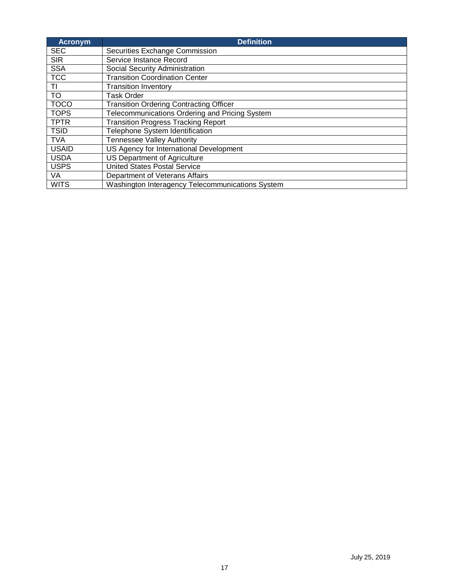| <b>Acronym</b> | <b>Definition</b>                                |
|----------------|--------------------------------------------------|
| <b>SEC</b>     | Securities Exchange Commission                   |
| <b>SIR</b>     | Service Instance Record                          |
| <b>SSA</b>     | Social Security Administration                   |
| <b>TCC</b>     | <b>Transition Coordination Center</b>            |
| TI             | <b>Transition Inventory</b>                      |
| <b>TO</b>      | <b>Task Order</b>                                |
| <b>TOCO</b>    | <b>Transition Ordering Contracting Officer</b>   |
| <b>TOPS</b>    | Telecommunications Ordering and Pricing System   |
| <b>TPTR</b>    | <b>Transition Progress Tracking Report</b>       |
| <b>TSID</b>    | Telephone System Identification                  |
| <b>TVA</b>     | <b>Tennessee Valley Authority</b>                |
| <b>USAID</b>   | US Agency for International Development          |
| <b>USDA</b>    | <b>US Department of Agriculture</b>              |
| <b>USPS</b>    | <b>United States Postal Service</b>              |
| VA             | Department of Veterans Affairs                   |
| <b>WITS</b>    | Washington Interagency Telecommunications System |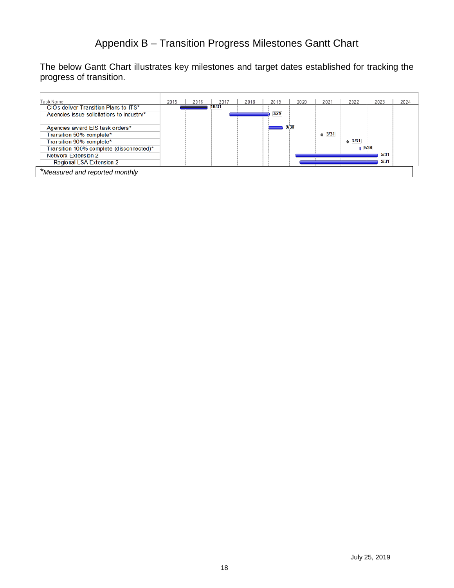### Appendix B – Transition Progress Milestones Gantt Chart

<span id="page-18-0"></span>The below Gantt Chart illustrates key milestones and target dates established for tracking the progress of transition.

| Task Name                                 | 2015 | 2016 | 201'  | 2018 | 2019 | 2020 | 2021                   | 2022             | 2023 | 2024 |
|-------------------------------------------|------|------|-------|------|------|------|------------------------|------------------|------|------|
| CIOs deliver Transition Plans to ITS*     |      |      | 10/31 |      |      |      |                        |                  |      |      |
| Agencies issue solicitations to industry* |      |      |       |      | 3/29 |      |                        |                  |      |      |
|                                           |      |      |       |      |      |      |                        |                  |      |      |
| Agencies award EIS task orders*           |      |      |       |      |      | 9/30 |                        |                  |      |      |
| Transition 50% complete*                  |      |      |       |      |      |      | $\Leftrightarrow$ 3/31 |                  |      |      |
| Transition 90% complete*                  |      |      |       |      |      |      |                        | $\triangle$ 3/31 |      |      |
| Transition 100% complete (disconnected)*  |      |      |       |      |      |      |                        | 19/30            |      |      |
| Networx Extension 2                       |      |      |       |      |      |      |                        |                  | 5/31 |      |
| Regional LSA Extension 2                  |      |      |       |      |      |      |                        |                  | 5/31 |      |
| *Measured and reported monthly            |      |      |       |      |      |      |                        |                  |      |      |
|                                           |      |      |       |      |      |      |                        |                  |      |      |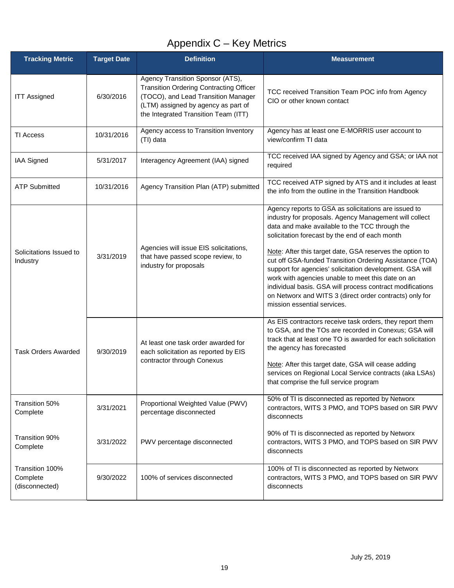## Appendix C – Key Metrics

<span id="page-19-0"></span>

| <b>Tracking Metric</b>                        | <b>Target Date</b> | <b>Definition</b>                                                                                                                                                                                        | <b>Measurement</b>                                                                                                                                                                                                                                                                                                                                                                                                                                                                                                                                                                                                |
|-----------------------------------------------|--------------------|----------------------------------------------------------------------------------------------------------------------------------------------------------------------------------------------------------|-------------------------------------------------------------------------------------------------------------------------------------------------------------------------------------------------------------------------------------------------------------------------------------------------------------------------------------------------------------------------------------------------------------------------------------------------------------------------------------------------------------------------------------------------------------------------------------------------------------------|
| <b>ITT Assigned</b>                           | 6/30/2016          | Agency Transition Sponsor (ATS),<br><b>Transition Ordering Contracting Officer</b><br>(TOCO), and Lead Transition Manager<br>(LTM) assigned by agency as part of<br>the Integrated Transition Team (ITT) | TCC received Transition Team POC info from Agency<br>CIO or other known contact                                                                                                                                                                                                                                                                                                                                                                                                                                                                                                                                   |
| <b>TI Access</b>                              | 10/31/2016         | Agency access to Transition Inventory<br>(TI) data                                                                                                                                                       | Agency has at least one E-MORRIS user account to<br>view/confirm TI data                                                                                                                                                                                                                                                                                                                                                                                                                                                                                                                                          |
| IAA Signed                                    | 5/31/2017          | Interagency Agreement (IAA) signed                                                                                                                                                                       | TCC received IAA signed by Agency and GSA; or IAA not<br>required                                                                                                                                                                                                                                                                                                                                                                                                                                                                                                                                                 |
| <b>ATP Submitted</b>                          | 10/31/2016         | Agency Transition Plan (ATP) submitted                                                                                                                                                                   | TCC received ATP signed by ATS and it includes at least<br>the info from the outline in the Transition Handbook                                                                                                                                                                                                                                                                                                                                                                                                                                                                                                   |
| Solicitations Issued to<br>Industry           | 3/31/2019          | Agencies will issue EIS solicitations,<br>that have passed scope review, to<br>industry for proposals                                                                                                    | Agency reports to GSA as solicitations are issued to<br>industry for proposals. Agency Management will collect<br>data and make available to the TCC through the<br>solicitation forecast by the end of each month<br>Note: After this target date, GSA reserves the option to<br>cut off GSA-funded Transition Ordering Assistance (TOA)<br>support for agencies' solicitation development. GSA will<br>work with agencies unable to meet this date on an<br>individual basis. GSA will process contract modifications<br>on Networx and WITS 3 (direct order contracts) only for<br>mission essential services. |
| <b>Task Orders Awarded</b>                    | 9/30/2019          | At least one task order awarded for<br>each solicitation as reported by EIS<br>contractor through Conexus                                                                                                | As EIS contractors receive task orders, they report them<br>to GSA, and the TOs are recorded in Conexus; GSA will<br>track that at least one TO is awarded for each solicitation<br>the agency has forecasted<br>Note: After this target date, GSA will cease adding<br>services on Regional Local Service contracts (aka LSAs)<br>that comprise the full service program                                                                                                                                                                                                                                         |
| Transition 50%<br>Complete                    | 3/31/2021          | Proportional Weighted Value (PWV)<br>percentage disconnected                                                                                                                                             | 50% of TI is disconnected as reported by Networx<br>contractors, WITS 3 PMO, and TOPS based on SIR PWV<br>disconnects                                                                                                                                                                                                                                                                                                                                                                                                                                                                                             |
| Transition 90%<br>Complete                    | 3/31/2022          | PWV percentage disconnected                                                                                                                                                                              | 90% of TI is disconnected as reported by Networx<br>contractors, WITS 3 PMO, and TOPS based on SIR PWV<br>disconnects                                                                                                                                                                                                                                                                                                                                                                                                                                                                                             |
| Transition 100%<br>Complete<br>(disconnected) | 9/30/2022          | 100% of services disconnected                                                                                                                                                                            | 100% of TI is disconnected as reported by Networx<br>contractors, WITS 3 PMO, and TOPS based on SIR PWV<br>disconnects                                                                                                                                                                                                                                                                                                                                                                                                                                                                                            |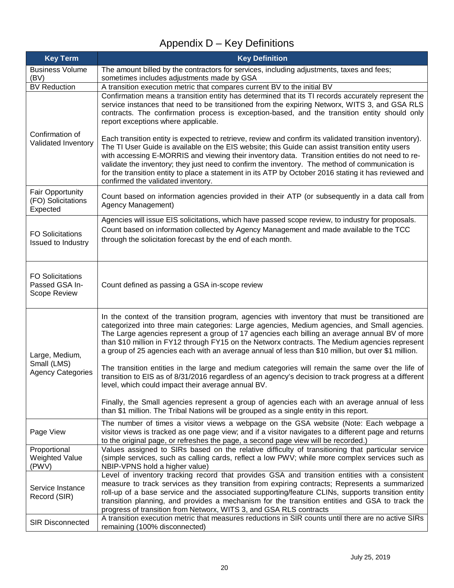# Appendix D – Key Definitions

<span id="page-20-0"></span>

| <b>Key Term</b>                                           | <b>Key Definition</b>                                                                                                                                                                                                                                                                                                                                                                                                                                                                                                                                             |
|-----------------------------------------------------------|-------------------------------------------------------------------------------------------------------------------------------------------------------------------------------------------------------------------------------------------------------------------------------------------------------------------------------------------------------------------------------------------------------------------------------------------------------------------------------------------------------------------------------------------------------------------|
| <b>Business Volume</b>                                    | The amount billed by the contractors for services, including adjustments, taxes and fees;                                                                                                                                                                                                                                                                                                                                                                                                                                                                         |
| (BV)                                                      | sometimes includes adjustments made by GSA                                                                                                                                                                                                                                                                                                                                                                                                                                                                                                                        |
| <b>BV Reduction</b>                                       | A transition execution metric that compares current BV to the initial BV<br>Confirmation means a transition entity has determined that its TI records accurately represent the<br>service instances that need to be transitioned from the expiring Networx, WITS 3, and GSA RLS<br>contracts. The confirmation process is exception-based, and the transition entity should only<br>report exceptions where applicable.                                                                                                                                           |
| Confirmation of<br>Validated Inventory                    | Each transition entity is expected to retrieve, review and confirm its validated transition inventory).<br>The TI User Guide is available on the EIS website; this Guide can assist transition entity users<br>with accessing E-MORRIS and viewing their inventory data. Transition entities do not need to re-<br>validate the inventory; they just need to confirm the inventory. The method of communication is<br>for the transition entity to place a statement in its ATP by October 2016 stating it has reviewed and<br>confirmed the validated inventory. |
| <b>Fair Opportunity</b><br>(FO) Solicitations<br>Expected | Count based on information agencies provided in their ATP (or subsequently in a data call from<br>Agency Management)                                                                                                                                                                                                                                                                                                                                                                                                                                              |
| <b>FO Solicitations</b><br><b>Issued to Industry</b>      | Agencies will issue EIS solicitations, which have passed scope review, to industry for proposals.<br>Count based on information collected by Agency Management and made available to the TCC<br>through the solicitation forecast by the end of each month.                                                                                                                                                                                                                                                                                                       |
| <b>FO Solicitations</b><br>Passed GSA In-<br>Scope Review | Count defined as passing a GSA in-scope review                                                                                                                                                                                                                                                                                                                                                                                                                                                                                                                    |
| Large, Medium,<br>Small (LMS)                             | In the context of the transition program, agencies with inventory that must be transitioned are<br>categorized into three main categories: Large agencies, Medium agencies, and Small agencies.<br>The Large agencies represent a group of 17 agencies each billing an average annual BV of more<br>than \$10 million in FY12 through FY15 on the Networx contracts. The Medium agencies represent<br>a group of 25 agencies each with an average annual of less than \$10 million, but over \$1 million.                                                         |
| <b>Agency Categories</b>                                  | The transition entities in the large and medium categories will remain the same over the life of<br>transition to EIS as of 8/31/2016 regardless of an agency's decision to track progress at a different<br>level, which could impact their average annual BV.                                                                                                                                                                                                                                                                                                   |
|                                                           | Finally, the Small agencies represent a group of agencies each with an average annual of less<br>than \$1 million. The Tribal Nations will be grouped as a single entity in this report.                                                                                                                                                                                                                                                                                                                                                                          |
| Page View                                                 | The number of times a visitor views a webpage on the GSA website (Note: Each webpage a<br>visitor views is tracked as one page view; and if a visitor navigates to a different page and returns<br>to the original page, or refreshes the page, a second page view will be recorded.)                                                                                                                                                                                                                                                                             |
| Proportional<br><b>Weighted Value</b><br>(PWV)            | Values assigned to SIRs based on the relative difficulty of transitioning that particular service<br>(simple services, such as calling cards, reflect a low PWV; while more complex services such as<br>NBIP-VPNS hold a higher value)                                                                                                                                                                                                                                                                                                                            |
| Service Instance<br>Record (SIR)                          | Level of inventory tracking record that provides GSA and transition entities with a consistent<br>measure to track services as they transition from expiring contracts; Represents a summarized<br>roll-up of a base service and the associated supporting/feature CLINs, supports transition entity<br>transition planning, and provides a mechanism for the transition entities and GSA to track the<br>progress of transition from Networx, WITS 3, and GSA RLS contracts                                                                                      |
| <b>SIR Disconnected</b>                                   | A transition execution metric that measures reductions in SIR counts until there are no active SIRs<br>remaining (100% disconnected)                                                                                                                                                                                                                                                                                                                                                                                                                              |